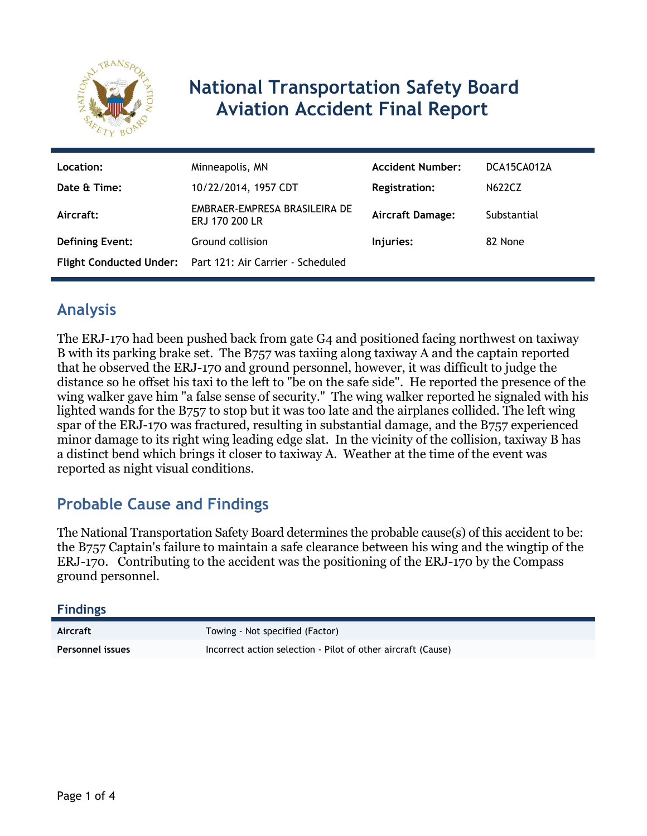

# **National Transportation Safety Board Aviation Accident Final Report**

| Location:              | Minneapolis, MN                                           | <b>Accident Number:</b> | DCA15CA012A   |
|------------------------|-----------------------------------------------------------|-------------------------|---------------|
| Date & Time:           | 10/22/2014, 1957 CDT                                      | <b>Registration:</b>    | <b>N622CZ</b> |
| Aircraft:              | EMBRAER-EMPRESA BRASILEIRA DE<br>ERJ 170 200 LR           | <b>Aircraft Damage:</b> | Substantial   |
| <b>Defining Event:</b> | Ground collision                                          | Injuries:               | 82 None       |
|                        | Flight Conducted Under: Part 121: Air Carrier - Scheduled |                         |               |

## **Analysis**

The ERJ-170 had been pushed back from gate G4 and positioned facing northwest on taxiway B with its parking brake set. The B757 was taxiing along taxiway A and the captain reported that he observed the ERJ-170 and ground personnel, however, it was difficult to judge the distance so he offset his taxi to the left to "be on the safe side". He reported the presence of the wing walker gave him "a false sense of security." The wing walker reported he signaled with his lighted wands for the B757 to stop but it was too late and the airplanes collided. The left wing spar of the ERJ-170 was fractured, resulting in substantial damage, and the B757 experienced minor damage to its right wing leading edge slat. In the vicinity of the collision, taxiway B has a distinct bend which brings it closer to taxiway A. Weather at the time of the event was reported as night visual conditions.

## **Probable Cause and Findings**

The National Transportation Safety Board determines the probable cause(s) of this accident to be: the B757 Captain's failure to maintain a safe clearance between his wing and the wingtip of the ERJ-170. Contributing to the accident was the positioning of the ERJ-170 by the Compass ground personnel.

#### **Findings**

| Aircraft         | Towing - Not specified (Factor)                              |
|------------------|--------------------------------------------------------------|
| Personnel issues | Incorrect action selection - Pilot of other aircraft (Cause) |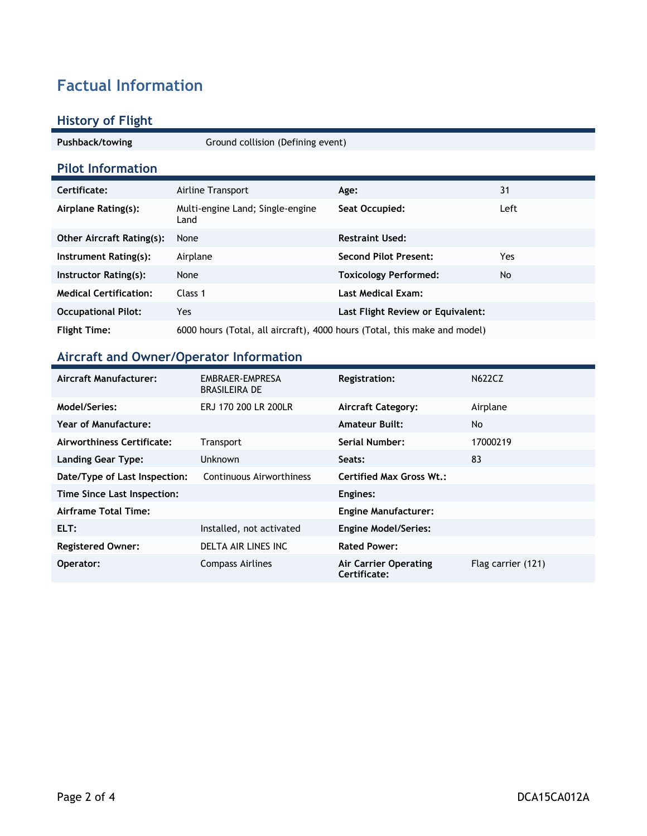# **Factual Information**

### **History of Flight**

| Pushback/towing                  | Ground collision (Defining event)                                         |                                   |      |
|----------------------------------|---------------------------------------------------------------------------|-----------------------------------|------|
| <b>Pilot Information</b>         |                                                                           |                                   |      |
| Certificate:                     | Airline Transport                                                         | Age:                              | 31   |
| Airplane Rating(s):              | Multi-engine Land; Single-engine<br>Land                                  | Seat Occupied:                    | Left |
| <b>Other Aircraft Rating(s):</b> | None                                                                      | <b>Restraint Used:</b>            |      |
| Instrument Rating(s):            | Airplane                                                                  | <b>Second Pilot Present:</b>      | Yes. |
| Instructor Rating(s):            | None                                                                      | <b>Toxicology Performed:</b>      | No   |
| <b>Medical Certification:</b>    | Class 1                                                                   | <b>Last Medical Exam:</b>         |      |
| <b>Occupational Pilot:</b>       | Yes                                                                       | Last Flight Review or Equivalent: |      |
| <b>Flight Time:</b>              | 6000 hours (Total, all aircraft), 4000 hours (Total, this make and model) |                                   |      |

## **Aircraft and Owner/Operator Information**

| Aircraft Manufacturer:        | EMBRAER-EMPRESA<br><b>BRASILEIRA DE</b> | <b>Registration:</b>                  | <b>N622CZ</b>      |
|-------------------------------|-----------------------------------------|---------------------------------------|--------------------|
| Model/Series:                 | ERJ 170 200 LR 200LR                    | <b>Aircraft Category:</b>             | Airplane           |
| Year of Manufacture:          |                                         | <b>Amateur Built:</b>                 | No                 |
| Airworthiness Certificate:    | Transport                               | Serial Number:                        | 17000219           |
| Landing Gear Type:            | Unknown                                 | Seats:                                | 83                 |
| Date/Type of Last Inspection: | Continuous Airworthiness                | <b>Certified Max Gross Wt.:</b>       |                    |
| Time Since Last Inspection:   |                                         | Engines:                              |                    |
| Airframe Total Time:          |                                         | <b>Engine Manufacturer:</b>           |                    |
| ELT:                          | Installed, not activated                | <b>Engine Model/Series:</b>           |                    |
| <b>Registered Owner:</b>      | DELTA AIR LINES INC                     | <b>Rated Power:</b>                   |                    |
| Operator:                     | <b>Compass Airlines</b>                 | Air Carrier Operating<br>Certificate: | Flag carrier (121) |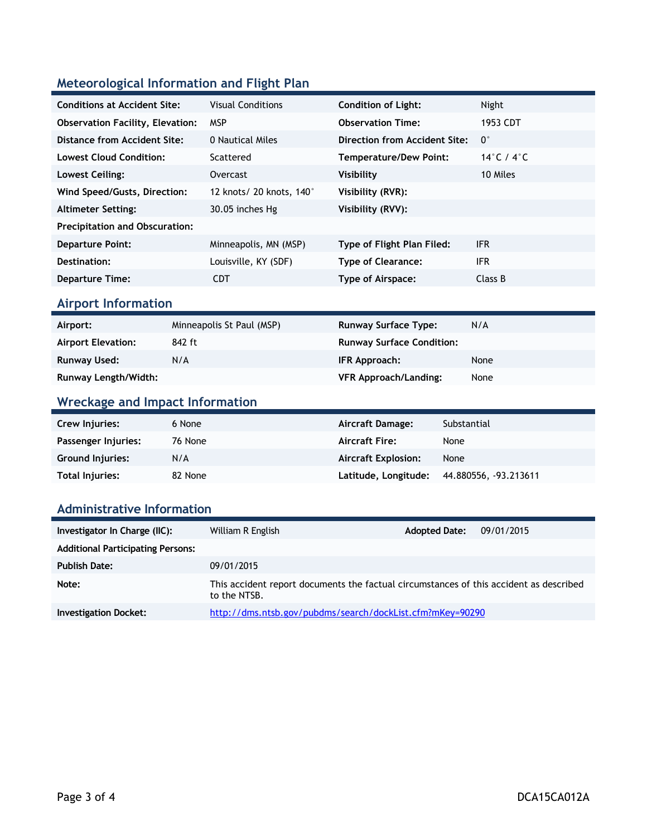### **Meteorological Information and Flight Plan**

| <b>Conditions at Accident Site:</b>     | <b>Visual Conditions</b> | <b>Condition of Light:</b>    | Night       |
|-----------------------------------------|--------------------------|-------------------------------|-------------|
| <b>Observation Facility, Elevation:</b> | <b>MSP</b>               | <b>Observation Time:</b>      | 1953 CDT    |
| Distance from Accident Site:            | 0 Nautical Miles         | Direction from Accident Site: | $0^{\circ}$ |
| <b>Lowest Cloud Condition:</b>          | Scattered                | Temperature/Dew Point:        | 14°C / 4°C  |
| Lowest Ceiling:                         | Overcast                 | <b>Visibility</b>             | 10 Miles    |
| Wind Speed/Gusts, Direction:            | 12 knots/ 20 knots, 140° | Visibility (RVR):             |             |
| <b>Altimeter Setting:</b>               | 30.05 inches Hg          | Visibility (RVV):             |             |
| <b>Precipitation and Obscuration:</b>   |                          |                               |             |
| <b>Departure Point:</b>                 | Minneapolis, MN (MSP)    | Type of Flight Plan Filed:    | <b>IFR</b>  |
| Destination:                            | Louisville, KY (SDF)     | <b>Type of Clearance:</b>     | <b>IFR</b>  |
| <b>Departure Time:</b>                  | <b>CDT</b>               | Type of Airspace:             | Class B     |

#### **Airport Information**

| Airport:                  | Minneapolis St Paul (MSP) | <b>Runway Surface Type:</b>      | N/A  |
|---------------------------|---------------------------|----------------------------------|------|
| <b>Airport Elevation:</b> | 842 ft                    | <b>Runway Surface Condition:</b> |      |
| Runway Used:              | N/A                       | IFR Approach:                    | None |
| Runway Length/Width:      |                           | <b>VFR Approach/Landing:</b>     | None |

### **Wreckage and Impact Information**

| Crew Injuries:          | 6 None  | Aircraft Damage:           | Substantial          |
|-------------------------|---------|----------------------------|----------------------|
| Passenger Injuries:     | 76 None | <b>Aircraft Fire:</b>      | None                 |
| <b>Ground Injuries:</b> | N/A     | <b>Aircraft Explosion:</b> | None                 |
| Total Injuries:         | 82 None | Latitude, Longitude:       | 44.880556, 93.213611 |

#### **Administrative Information**

| Investigator In Charge (IIC):            | William R English                                                                                      | <b>Adopted Date:</b> | 09/01/2015 |
|------------------------------------------|--------------------------------------------------------------------------------------------------------|----------------------|------------|
| <b>Additional Participating Persons:</b> |                                                                                                        |                      |            |
| <b>Publish Date:</b>                     | 09/01/2015                                                                                             |                      |            |
| Note:                                    | This accident report documents the factual circumstances of this accident as described<br>to the NTSB. |                      |            |
| <b>Investigation Docket:</b>             | http://dms.ntsb.gov/pubdms/search/dockList.cfm?mKey=90290                                              |                      |            |